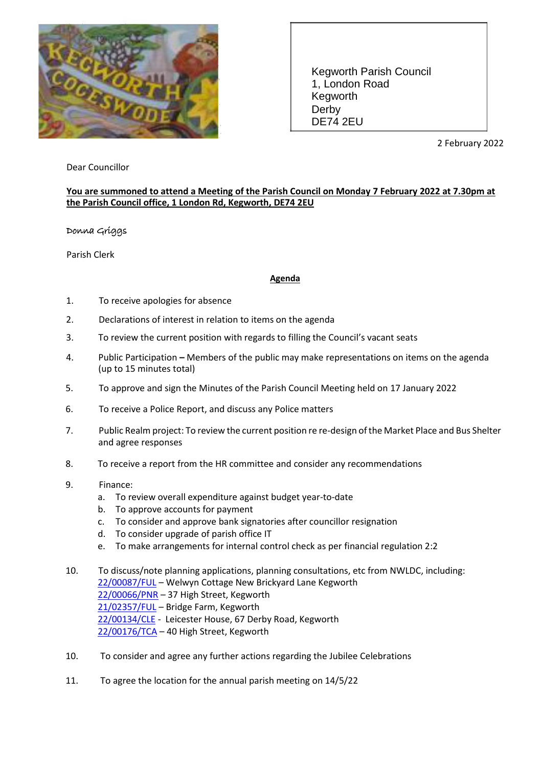

Kegworth Parish Council 1, London Road Kegworth Derby DE74 2EU

2 February 2022

## Dear Councillor

## **You are summoned to attend a Meeting of the Parish Council on Monday 7 February 2022 at 7.30pm at the Parish Council office, 1 London Rd, Kegworth, DE74 2EU**

## Donna Griggs

Parish Clerk

## **Agenda**

- 1. To receive apologies for absence
- 2. Declarations of interest in relation to items on the agenda
- 3. To review the current position with regards to filling the Council's vacant seats
- 4. Public Participation **–** Members of the public may make representations on items on the agenda (up to 15 minutes total)
- 5. To approve and sign the Minutes of the Parish Council Meeting held on 17 January 2022
- 6. To receive a Police Report, and discuss any Police matters
- 7. Public Realm project: To review the current position re re-design of the Market Place and Bus Shelter and agree responses
- 8. To receive a report from the HR committee and consider any recommendations
- 9. Finance:
	- a. To review overall expenditure against budget year-to-date
	- b. To approve accounts for payment
	- c. To consider and approve bank signatories after councillor resignation
	- d. To consider upgrade of parish office IT
	- e. To make arrangements for internal control check as per financial regulation 2:2

10. To discuss/note planning applications, planning consultations, etc from NWLDC, including: [22/00087/FUL](https://plans.nwleics.gov.uk/public-access/applicationDetails.do?activeTab=summary&keyVal=R5V5ZQLRG8600) – Welwyn Cottage New Brickyard Lane Kegworth [22/00066/PNR](https://plans.nwleics.gov.uk/public-access/applicationDetails.do?activeTab=summary&keyVal=R5NM67LR0ML00) – 37 High Street, Kegworth [21/02357/FUL](https://plans.nwleics.gov.uk/public-access/applicationDetails.do?activeTab=summary&keyVal=R4K8R5LR0ML00) - Bridge Farm, Kegworth [22/00134/CLE](https://plans.nwleics.gov.uk/public-access/applicationDetails.do?activeTab=summary&keyVal=R67VFFLR0ML00) - Leicester House, 67 Derby Road, Kegworth [22/00176/TCA](https://plans.nwleics.gov.uk/public-access/applicationDetails.do?activeTab=summary&keyVal=R6KO8ULR0ML00) - 40 High Street, Kegworth

- 10. To consider and agree any further actions regarding the Jubilee Celebrations
- 11. To agree the location for the annual parish meeting on 14/5/22